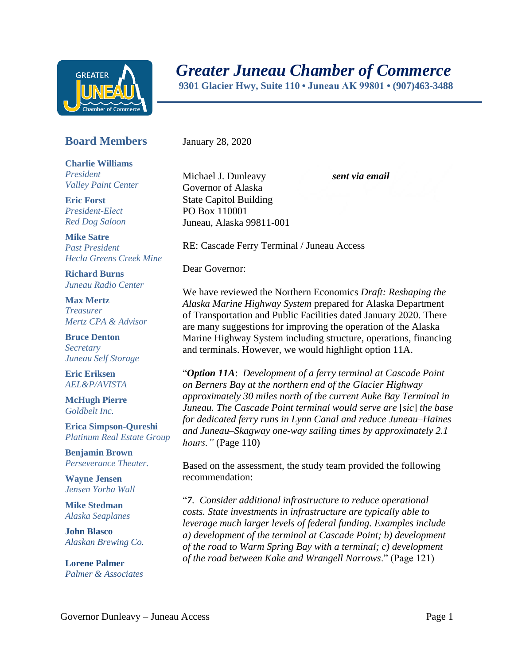

## *Greater Juneau Chamber of Commerce*

 **9301 Glacier Hwy, Suite 110 • Juneau AK 99801 • (907)463-3488** 

## **Board Members**

**Charlie Williams** *President Valley Paint Center*

**Eric Forst** *President-Elect Red Dog Saloon*

**Mike Satre**  *Past President Hecla Greens Creek Mine*

**Richard Burns** *Juneau Radio Center*

**Max Mertz** *Treasurer Mertz CPA & Advisor*

**Bruce Denton** *Secretary Juneau Self Storage*

**Eric Eriksen** *AEL&P/AVISTA*

**McHugh Pierre** *Goldbelt Inc.*

**Erica Simpson-Qureshi** *Platinum Real Estate Group*

**Benjamin Brown** *Perseverance Theater.*

**Wayne Jensen** *Jensen Yorba Wall*

**Mike Stedman** *Alaska Seaplanes*

**John Blasco** *Alaskan Brewing Co.*

**Lorene Palmer** *Palmer & Associates*  January 28, 2020

Michael J. Dunleavy *sent via email* Governor of Alaska State Capitol Building PO Box 110001 Juneau, Alaska 99811-001

RE: Cascade Ferry Terminal / Juneau Access

Dear Governor:

We have reviewed the Northern Economics *Draft: Reshaping the Alaska Marine Highway System* prepared for Alaska Department of Transportation and Public Facilities dated January 2020. There are many suggestions for improving the operation of the Alaska Marine Highway System including structure, operations, financing and terminals. However, we would highlight option 11A.

"*Option 11A*: *Development of a ferry terminal at Cascade Point on Berners Bay at the northern end of the Glacier Highway approximately 30 miles north of the current Auke Bay Terminal in Juneau. The Cascade Point terminal would serve are* [*sic*] *the base for dedicated ferry runs in Lynn Canal and reduce Juneau–Haines and Juneau–Skagway one-way sailing times by approximately 2.1 hours."* (Page 110)

Based on the assessment, the study team provided the following recommendation:

"*7. Consider additional infrastructure to reduce operational costs. State investments in infrastructure are typically able to leverage much larger levels of federal funding. Examples include a) development of the terminal at Cascade Point; b) development of the road to Warm Spring Bay with a terminal; c) development of the road between Kake and Wrangell Narrows*." (Page 121)